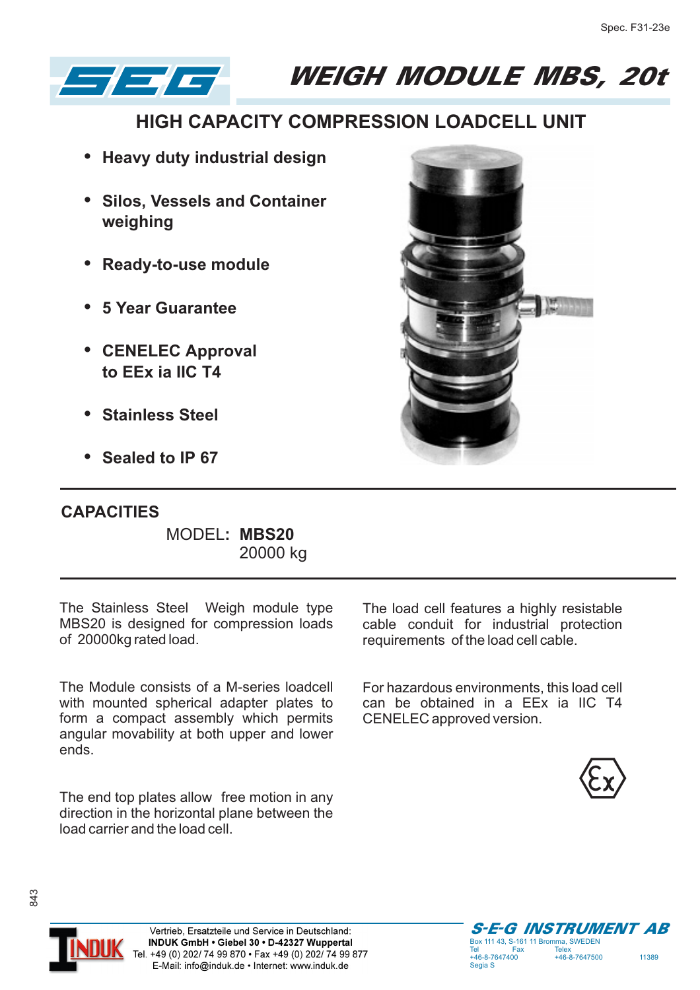

WEIGH MODULE MBS, 20t

## **HIGH CAPACITY COMPRESSION LOADCELL UNIT**

- **Heavy duty industrial design**
- **Silos, Vessels and Container weighing**
- **Ready-to-use module** •
- **5 Year Guarantee** •
- **CENELEC Approval to EEx ia IIC T4**
- **Stainless Steel**
- **Sealed to IP 67**

## **CAPACITIES**

MODEL**: MBS20** 20000 kg

The Stainless Steel Weigh module type MBS20 is designed for compression loads of 20000kg rated load.

The Module consists of a M-series loadcell with mounted spherical adapter plates to form a compact assembly which permits angular movability at both upper and lower ends.

The end top plates allow free motion in any direction in the horizontal plane between the load carrier and the load cell.



The load cell features a highly resistable cable conduit for industrial protection requirements of the load cell cable.

For hazardous environments, this load cell can be obtained in a EEx ia IIC T4 CENELEC approved version.





843

S-E-G INSTRUMENT AB Box 111 43, S-161 11 Bromma, SWEDEN  $-46 - 8 - 7647400$ +46-8-7647400 +46-8-7647500 11389 Segia S